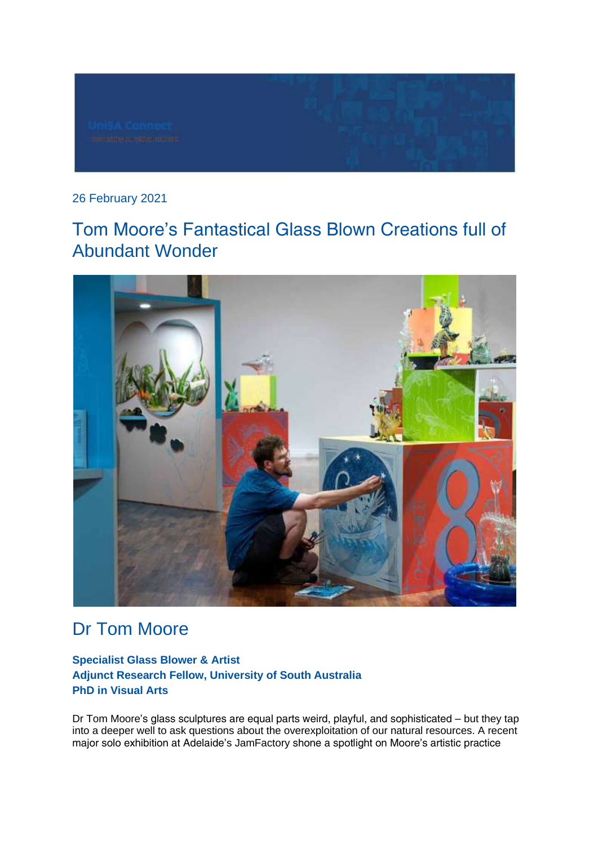

## 26 February 2021

## Tom Moore's Fantastical Glass Blown Creations full of Abundant Wonder



## Dr Tom Moore

## **Specialist Glass Blower & Artist Adjunct Research Fellow, University of South Australia PhD in Visual Arts**

Dr Tom Moore's glass sculptures are equal parts weird, playful, and sophisticated – but they tap into a deeper well to ask questions about the overexploitation of our natural resources. A recent major solo exhibition at Adelaide's JamFactory shone a spotlight on Moore's artistic practice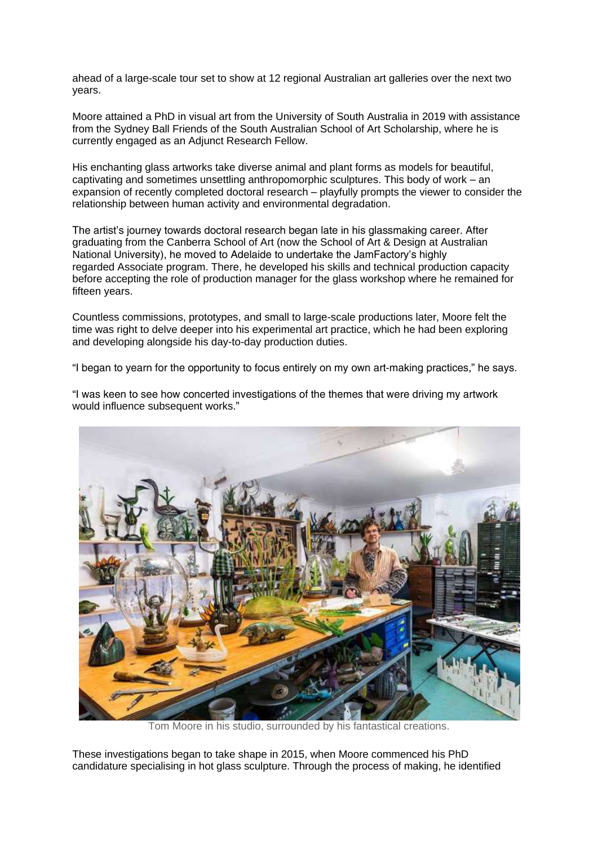ahead of a large-scale tour set to show at 12 regional Australian art galleries over the next two years.

Moore attained a PhD in visual art from the University of South Australia in 2019 with assistance from the Sydney Ball Friends of the South Australian School of Art Scholarship, where he is currently engaged as an Adjunct Research Fellow.

His enchanting glass artworks take diverse animal and plant forms as models for beautiful, captivating and sometimes unsettling anthropomorphic sculptures. This body of work – an expansion of recently completed doctoral research – playfully prompts the viewer to consider the relationship between human activity and environmental degradation.

The artist's journey towards doctoral research began late in his glassmaking career. After graduating from the Canberra School of Art (now the School of Art & Design at Australian National University), he moved to Adelaide to undertake the JamFactory's highly regarded Associate program. There, he developed his skills and technical production capacity before accepting the role of production manager for the glass workshop where he remained for fifteen years.

Countless commissions, prototypes, and small to large-scale productions later, Moore felt the time was right to delve deeper into his experimental art practice, which he had been exploring and developing alongside his day-to-day production duties.

"I began to yearn for the opportunity to focus entirely on my own art-making practices," he says.



"I was keen to see how concerted investigations of the themes that were driving my artwork would influence subsequent works."

Tom Moore in his studio, surrounded by his fantastical creations.

These investigations began to take shape in 2015, when Moore commenced his PhD candidature specialising in hot glass sculpture. Through the process of making, he identified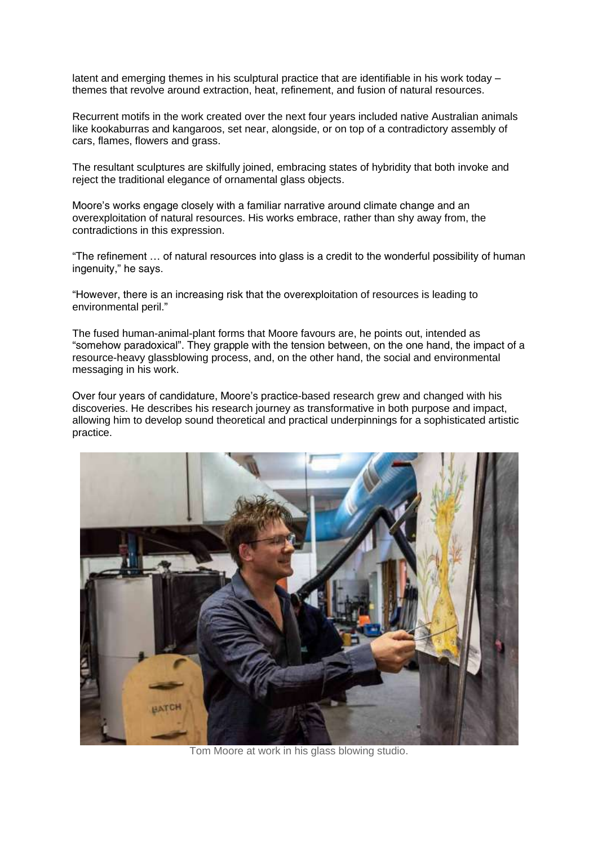latent and emerging themes in his sculptural practice that are identifiable in his work today – themes that revolve around extraction, heat, refinement, and fusion of natural resources.

Recurrent motifs in the work created over the next four years included native Australian animals like kookaburras and kangaroos, set near, alongside, or on top of a contradictory assembly of cars, flames, flowers and grass.

The resultant sculptures are skilfully joined, embracing states of hybridity that both invoke and reject the traditional elegance of ornamental glass objects.

Moore's works engage closely with a familiar narrative around climate change and an overexploitation of natural resources. His works embrace, rather than shy away from, the contradictions in this expression.

"The refinement … of natural resources into glass is a credit to the wonderful possibility of human ingenuity," he says.

"However, there is an increasing risk that the overexploitation of resources is leading to environmental peril."

The fused human-animal-plant forms that Moore favours are, he points out, intended as "somehow paradoxical". They grapple with the tension between, on the one hand, the impact of a resource-heavy glassblowing process, and, on the other hand, the social and environmental messaging in his work.

Over four years of candidature, Moore's practice-based research grew and changed with his discoveries. He describes his research journey as transformative in both purpose and impact, allowing him to develop sound theoretical and practical underpinnings for a sophisticated artistic practice.



Tom Moore at work in his glass blowing studio.